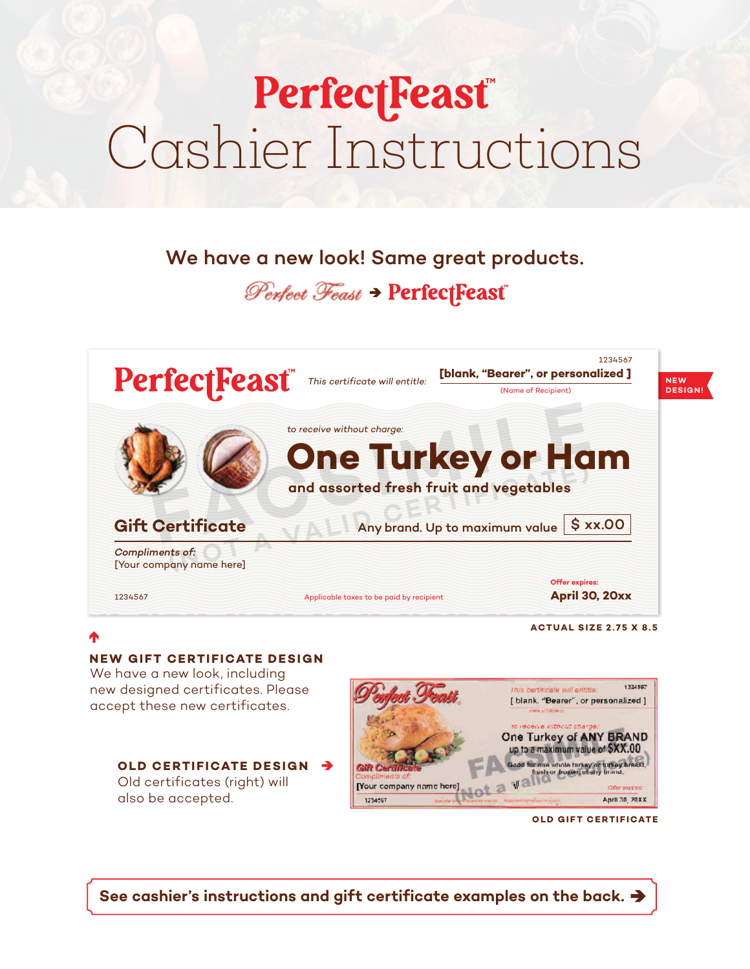# **PerfectFeast®** Cashier Instructions

# We have a new look! Same great products.

# Perfect Feast > PerfectFeast



**ACTUAL SIZE 2 . 75 X 8.5**

# **NEW GIFT CERTIFICATE DESIGN**

We have a new look, including new designed certificates. Please accept these new certificates.

#### **OLD CERTIFICATE DESIGN**

Old certificates (right) will also be accepted.



**OLD GIFT CERTIFICATE** 

**See cashier's instructions and gift certificate examples on the back.**